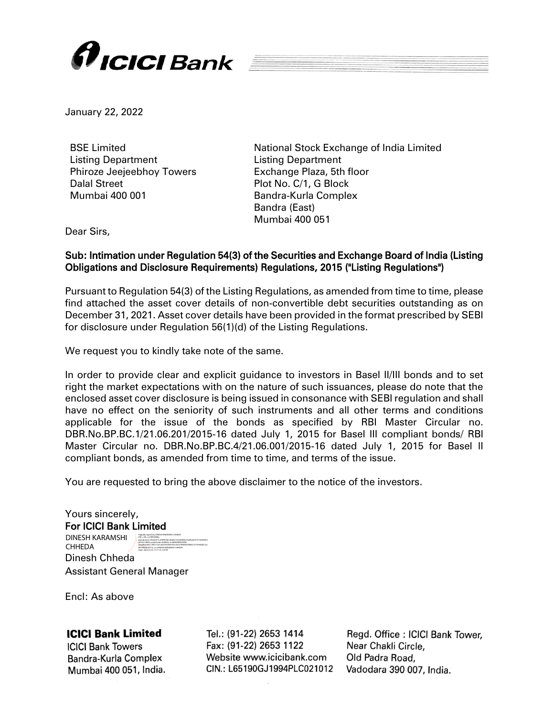

January 22, 2022

BSE Limited Listing Department Phiroze Jeejeebhoy Towers Dalal Street Mumbai 400 001

National Stock Exchange of India Limited Listing Department Exchange Plaza, 5th floor Plot No. C/1, G Block Bandra-Kurla Complex Bandra (East) Mumbai 400 051

Dear Sirs,

## Sub: Intimation under Regulation 54(3) of the Securities and Exchange Board of India (Listing Obligations and Disclosure Requirements) Regulations, 2015 ("Listing Regulations")

Pursuant to Regulation 54(3) of the Listing Regulations, as amended from time to time, please find attached the asset cover details of non-convertible debt securities outstanding as on December 31, 2021. Asset cover details have been provided in the format prescribed by SEBI for disclosure under Regulation 56(1)(d) of the Listing Regulations.

We request you to kindly take note of the same.

In order to provide clear and explicit guidance to investors in Basel II/III bonds and to set right the market expectations with on the nature of such issuances, please do note that the enclosed asset cover disclosure is being issued in consonance with SEBI regulation and shall have no effect on the seniority of such instruments and all other terms and conditions applicable for the issue of the bonds as specified by RBI Master Circular no. DBR.No.BP.BC.1/21.06.201/2015-16 dated July 1, 2015 for Basel III compliant bonds/ RBI Master Circular no. DBR.No.BP.BC.4/21.06.001/2015-16 dated July 1, 2015 for Basel II compliant bonds, as amended from time to time, and terms of the issue.

You are requested to bring the above disclaimer to the notice of the investors.

Yours sincerely, For ICICI Bank Limited DINESH KARAMSHI Digitally signed by DINESH KARAMSHI CHHEDA DN: c=IN, o=PERSONAL,

Dinesh Chheda Assistant General Manager CHHEDA pseudonym=f32e6271cd78f9e9d1ded5e7e4cb0803673d3b264175166492fc5 d01fe1c680f, postalCode=400068, st=MAHARASHTRA, serialNumber=695c1c67cb0355049e7d7c50c6189f44200b821277445bd21a2 8474982bd7416, cn=DINESH KARAMSHI CHHEDA Date: 2022.01.22 17:17:13 +05'30'

Encl: As above

## **ICICI Bank Limited**

**ICICI Bank Towers** Bandra-Kurla Complex Mumbai 400 051, India.

Tel.: (91-22) 2653 1414 Fax: (91-22) 2653 1122 Website www.icicibank.com CIN.: L65190GJ1994PLC021012

Regd. Office: ICICI Bank Tower, Near Chakli Circle. Old Padra Road, Vadodara 390 007, India.